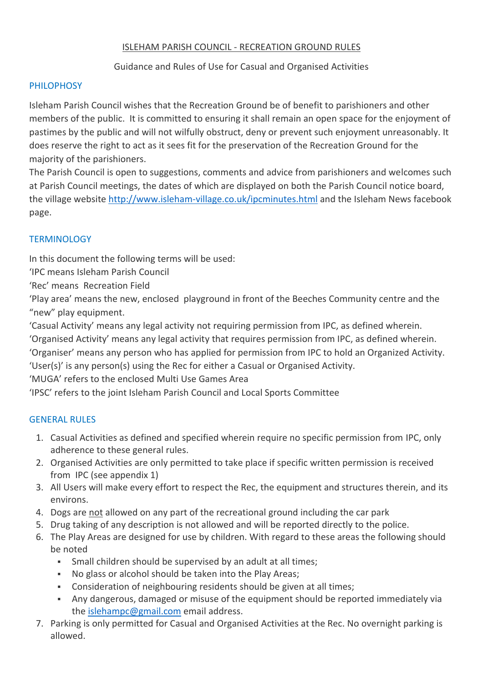## ISLEHAM PARISH COUNCIL - RECREATION GROUND RULES

# Guidance and Rules of Use for Casual and Organised Activities

## **PHILOPHOSY**

Isleham Parish Council wishes that the Recreation Ground be of benefit to parishioners and other members of the public. It is committed to ensuring it shall remain an open space for the enjoyment of pastimes by the public and will not wilfully obstruct, deny or prevent such enjoyment unreasonably. It does reserve the right to act as it sees fit for the preservation of the Recreation Ground for the majority of the parishioners.

The Parish Council is open to suggestions, comments and advice from parishioners and welcomes such at Parish Council meetings, the dates of which are displayed on both the Parish Council notice board, the village website<http://www.isleham-village.co.uk/ipcminutes.html> and the Isleham News facebook page.

# TERMINOLOGY

In this document the following terms will be used:

'IPC means Isleham Parish Council

'Rec' means Recreation Field

'Play area' means the new, enclosed playground in front of the Beeches Community centre and the "new" play equipment.

'Casual Activity' means any legal activity not requiring permission from IPC, as defined wherein. 'Organised Activity' means any legal activity that requires permission from IPC, as defined wherein. 'Organiser' means any person who has applied for permission from IPC to hold an Organized Activity.

'User(s)' is any person(s) using the Rec for either a Casual or Organised Activity.

'MUGA' refers to the enclosed Multi Use Games Area

'IPSC' refers to the joint Isleham Parish Council and Local Sports Committee

### GENERAL RULES

- 1. Casual Activities as defined and specified wherein require no specific permission from IPC, only adherence to these general rules.
- 2. Organised Activities are only permitted to take place if specific written permission is received from IPC (see appendix 1)
- 3. All Users will make every effort to respect the Rec, the equipment and structures therein, and its environs.
- 4. Dogs are not allowed on any part of the recreational ground including the car park
- 5. Drug taking of any description is not allowed and will be reported directly to the police.
- 6. The Play Areas are designed for use by children. With regard to these areas the following should be noted
	- Small children should be supervised by an adult at all times;
	- No glass or alcohol should be taken into the Play Areas;
	- Consideration of neighbouring residents should be given at all times;
	- Any dangerous, damaged or misuse of the equipment should be reported immediately via the [islehampc@gmail.com](mailto:islehampc@gmail.com) email address.
- 7. Parking is only permitted for Casual and Organised Activities at the Rec. No overnight parking is allowed.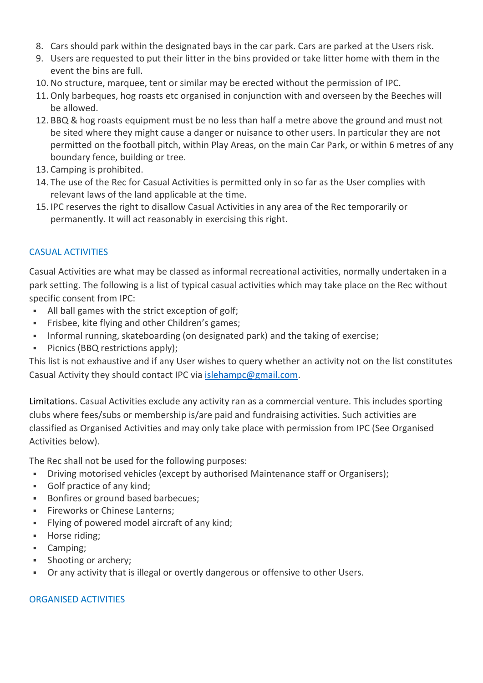- 8. Cars should park within the designated bays in the car park. Cars are parked at the Users risk.
- 9. Users are requested to put their litter in the bins provided or take litter home with them in the event the bins are full.
- 10. No structure, marquee, tent or similar may be erected without the permission of IPC.
- 11. Only barbeques, hog roasts etc organised in conjunction with and overseen by the Beeches will be allowed.
- 12. BBQ & hog roasts equipment must be no less than half a metre above the ground and must not be sited where they might cause a danger or nuisance to other users. In particular they are not permitted on the football pitch, within Play Areas, on the main Car Park, or within 6 metres of any boundary fence, building or tree.
- 13. Camping is prohibited.
- 14. The use of the Rec for Casual Activities is permitted only in so far as the User complies with relevant laws of the land applicable at the time.
- 15. IPC reserves the right to disallow Casual Activities in any area of the Rec temporarily or permanently. It will act reasonably in exercising this right.

### CASUAL ACTIVITIES

Casual Activities are what may be classed as informal recreational activities, normally undertaken in a park setting. The following is a list of typical casual activities which may take place on the Rec without specific consent from IPC:

- All ball games with the strict exception of golf;
- Frisbee, kite flying and other Children's games;
- Informal running, skateboarding (on designated park) and the taking of exercise;
- **Picnics (BBQ restrictions apply);**

This list is not exhaustive and if any User wishes to query whether an activity not on the list constitutes Casual Activity they should contact IPC via [islehampc@gmail.com.](mailto:islehampc@gmail.com)

Limitations. Casual Activities exclude any activity ran as a commercial venture. This includes sporting clubs where fees/subs or membership is/are paid and fundraising activities. Such activities are classified as Organised Activities and may only take place with permission from IPC (See Organised Activities below).

The Rec shall not be used for the following purposes:

- Driving motorised vehicles (except by authorised Maintenance staff or Organisers);
- Golf practice of any kind;
- Bonfires or ground based barbecues;
- **Fireworks or Chinese Lanterns;**
- **Flying of powered model aircraft of any kind;**
- **Horse riding;**
- **Camping**;
- Shooting or archery;
- Or any activity that is illegal or overtly dangerous or offensive to other Users.

### ORGANISED ACTIVITIES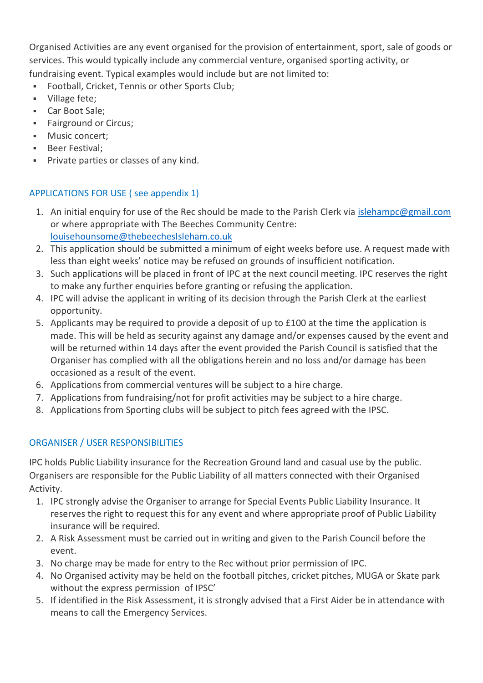Organised Activities are any event organised for the provision of entertainment, sport, sale of goods or services. This would typically include any commercial venture, organised sporting activity, or fundraising event. Typical examples would include but are not limited to:

- Football, Cricket, Tennis or other Sports Club;
- **village fete;**
- Car Boot Sale;
- **Fairground or Circus;**
- **Music concert;**
- **Beer Festival:**
- **Private parties or classes of any kind.**

# APPLICATIONS FOR USE ( see appendix 1)

- 1. An initial enquiry for use of the Rec should be made to the Parish Clerk via [islehampc@gmail.com](mailto:islehampc@gmail.com) or where appropriate with The Beeches Community Centre: [louisehounsome@thebeechesIsleham.co.uk](mailto:louisehounsome@thebeechesIsleham.co.uk)
- 2. This application should be submitted a minimum of eight weeks before use. A request made with less than eight weeks' notice may be refused on grounds of insufficient notification.
- 3. Such applications will be placed in front of IPC at the next council meeting. IPC reserves the right to make any further enquiries before granting or refusing the application.
- 4. IPC will advise the applicant in writing of its decision through the Parish Clerk at the earliest opportunity.
- 5. Applicants may be required to provide a deposit of up to £100 at the time the application is made. This will be held as security against any damage and/or expenses caused by the event and will be returned within 14 days after the event provided the Parish Council is satisfied that the Organiser has complied with all the obligations herein and no loss and/or damage has been occasioned as a result of the event.
- 6. Applications from commercial ventures will be subject to a hire charge.
- 7. Applications from fundraising/not for profit activities may be subject to a hire charge.
- 8. Applications from Sporting clubs will be subject to pitch fees agreed with the IPSC.

# ORGANISER / USER RESPONSIBILITIES

IPC holds Public Liability insurance for the Recreation Ground land and casual use by the public. Organisers are responsible for the Public Liability of all matters connected with their Organised Activity.

- 1. IPC strongly advise the Organiser to arrange for Special Events Public Liability Insurance. It reserves the right to request this for any event and where appropriate proof of Public Liability insurance will be required.
- 2. A Risk Assessment must be carried out in writing and given to the Parish Council before the event.
- 3. No charge may be made for entry to the Rec without prior permission of IPC.
- 4. No Organised activity may be held on the football pitches, cricket pitches, MUGA or Skate park without the express permission of IPSC'
- 5. If identified in the Risk Assessment, it is strongly advised that a First Aider be in attendance with means to call the Emergency Services.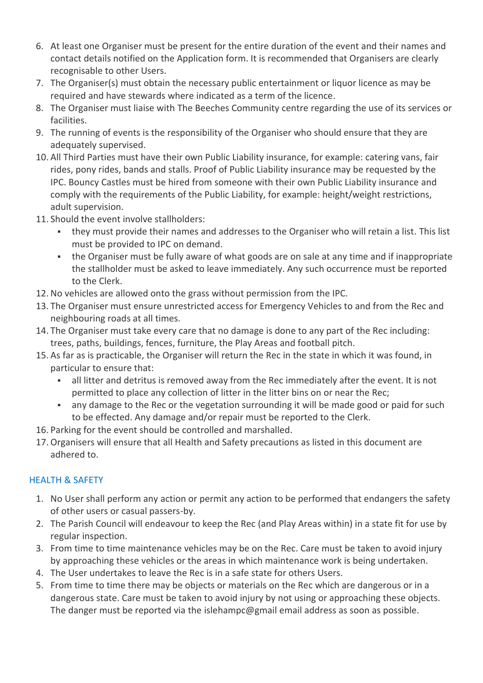- 6. At least one Organiser must be present for the entire duration of the event and their names and contact details notified on the Application form. It is recommended that Organisers are clearly recognisable to other Users.
- 7. The Organiser(s) must obtain the necessary public entertainment or liquor licence as may be required and have stewards where indicated as a term of the licence.
- 8. The Organiser must liaise with The Beeches Community centre regarding the use of its services or facilities.
- 9. The running of events is the responsibility of the Organiser who should ensure that they are adequately supervised.
- 10. All Third Parties must have their own Public Liability insurance, for example: catering vans, fair rides, pony rides, bands and stalls. Proof of Public Liability insurance may be requested by the IPC. Bouncy Castles must be hired from someone with their own Public Liability insurance and comply with the requirements of the Public Liability, for example: height/weight restrictions, adult supervision.
- 11. Should the event involve stallholders:
	- they must provide their names and addresses to the Organiser who will retain a list. This list must be provided to IPC on demand.
	- the Organiser must be fully aware of what goods are on sale at any time and if inappropriate the stallholder must be asked to leave immediately. Any such occurrence must be reported to the Clerk.
- 12. No vehicles are allowed onto the grass without permission from the IPC.
- 13. The Organiser must ensure unrestricted access for Emergency Vehicles to and from the Rec and neighbouring roads at all times.
- 14. The Organiser must take every care that no damage is done to any part of the Rec including: trees, paths, buildings, fences, furniture, the Play Areas and football pitch.
- 15. As far as is practicable, the Organiser will return the Rec in the state in which it was found, in particular to ensure that:
	- all litter and detritus is removed away from the Rec immediately after the event. It is not permitted to place any collection of litter in the litter bins on or near the Rec;
	- any damage to the Rec or the vegetation surrounding it will be made good or paid for such to be effected. Any damage and/or repair must be reported to the Clerk.
- 16. Parking for the event should be controlled and marshalled.
- 17. Organisers will ensure that all Health and Safety precautions as listed in this document are adhered to.

# HEALTH & SAFETY

- 1. No User shall perform any action or permit any action to be performed that endangers the safety of other users or casual passers-by.
- 2. The Parish Council will endeavour to keep the Rec (and Play Areas within) in a state fit for use by regular inspection.
- 3. From time to time maintenance vehicles may be on the Rec. Care must be taken to avoid injury by approaching these vehicles or the areas in which maintenance work is being undertaken.
- 4. The User undertakes to leave the Rec is in a safe state for others Users.
- 5. From time to time there may be objects or materials on the Rec which are dangerous or in a dangerous state. Care must be taken to avoid injury by not using or approaching these objects. The danger must be reported via the islehampc@gmail email address as soon as possible.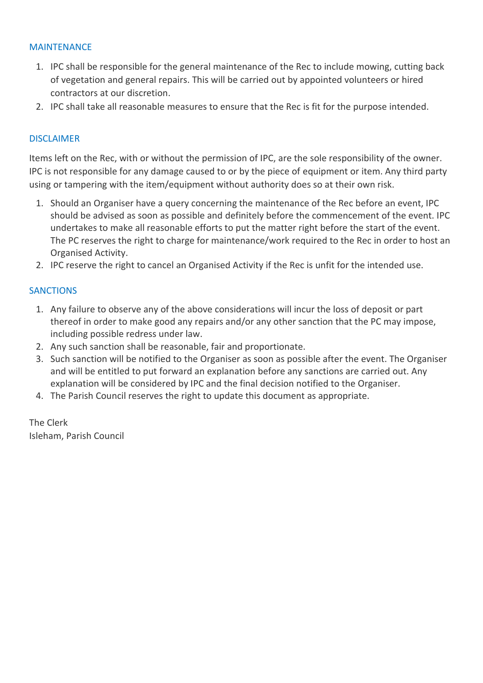#### MAINTENANCE

- 1. IPC shall be responsible for the general maintenance of the Rec to include mowing, cutting back of vegetation and general repairs. This will be carried out by appointed volunteers or hired contractors at our discretion.
- 2. IPC shall take all reasonable measures to ensure that the Rec is fit for the purpose intended.

#### DISCLAIMER

Items left on the Rec, with or without the permission of IPC, are the sole responsibility of the owner. IPC is not responsible for any damage caused to or by the piece of equipment or item. Any third party using or tampering with the item/equipment without authority does so at their own risk.

- 1. Should an Organiser have a query concerning the maintenance of the Rec before an event, IPC should be advised as soon as possible and definitely before the commencement of the event. IPC undertakes to make all reasonable efforts to put the matter right before the start of the event. The PC reserves the right to charge for maintenance/work required to the Rec in order to host an Organised Activity.
- 2. IPC reserve the right to cancel an Organised Activity if the Rec is unfit for the intended use.

#### **SANCTIONS**

- 1. Any failure to observe any of the above considerations will incur the loss of deposit or part thereof in order to make good any repairs and/or any other sanction that the PC may impose, including possible redress under law.
- 2. Any such sanction shall be reasonable, fair and proportionate.
- 3. Such sanction will be notified to the Organiser as soon as possible after the event. The Organiser and will be entitled to put forward an explanation before any sanctions are carried out. Any explanation will be considered by IPC and the final decision notified to the Organiser.
- 4. The Parish Council reserves the right to update this document as appropriate.

The Clerk Isleham, Parish Council